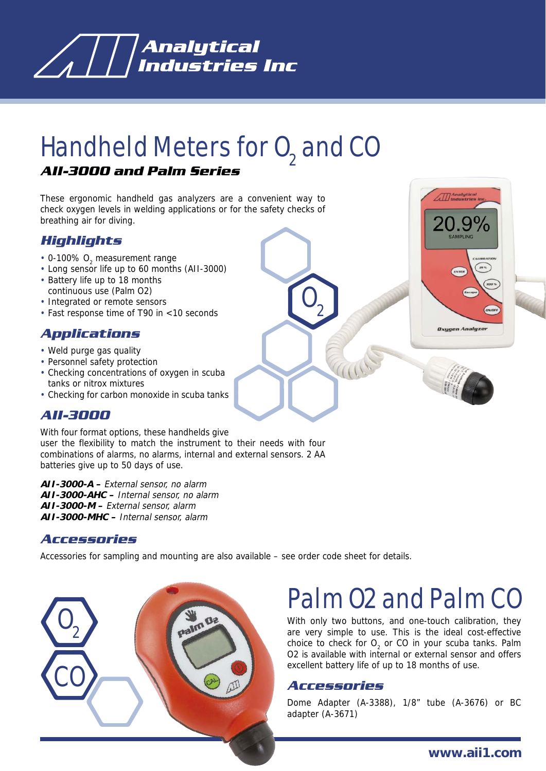

# Handheld Meters for 0<sub>2</sub> and CO

#### *AII-3000 and Palm Series*

These ergonomic handheld gas analyzers are a convenient way to check oxygen levels in welding applications or for the safety checks of breathing air for diving.

### *Highlights*

- 0-100%  $O_2$  measurement range
- Long sensor life up to 60 months (AII-3000)
- Battery life up to 18 months
- continuous use (Palm O2)
- Integrated or remote sensors
- Fast response time of T90 in <10 seconds

### *Applications*

- Weld purge gas quality
- Personnel safety protection
- Checking concentrations of oxygen in scuba tanks or nitrox mixtures
- Checking for carbon monoxide in scuba tanks

## *AII-3000*

With four format options, these handhelds give user the flexibility to match the instrument to their needs with four combinations of alarms, no alarms, internal and external sensors. 2 AA batteries give up to 50 days of use.

**AII-3000-A –** External sensor, no alarm **AII-3000-AHC –** Internal sensor, no alarm **AII-3000-M –** External sensor, alarm **AII-3000-MHC –** Internal sensor, alarm

#### *Accessories*

Accessories for sampling and mounting are also available – see order code sheet for details.



# Palm O2 and Palm CO

With only two buttons, and one-touch calibration, they are very simple to use. This is the ideal cost-effective choice to check for  $O_2$  or CO in your scuba tanks. Palm O2 is available with internal or external sensor and offers excellent battery life of up to 18 months of use.

#### *Accessories*

 $\mathbf{0}^{\ }_{2}$ 

Dome Adapter (A-3388), 1/8" tube (A-3676) or BC adapter (A-3671)